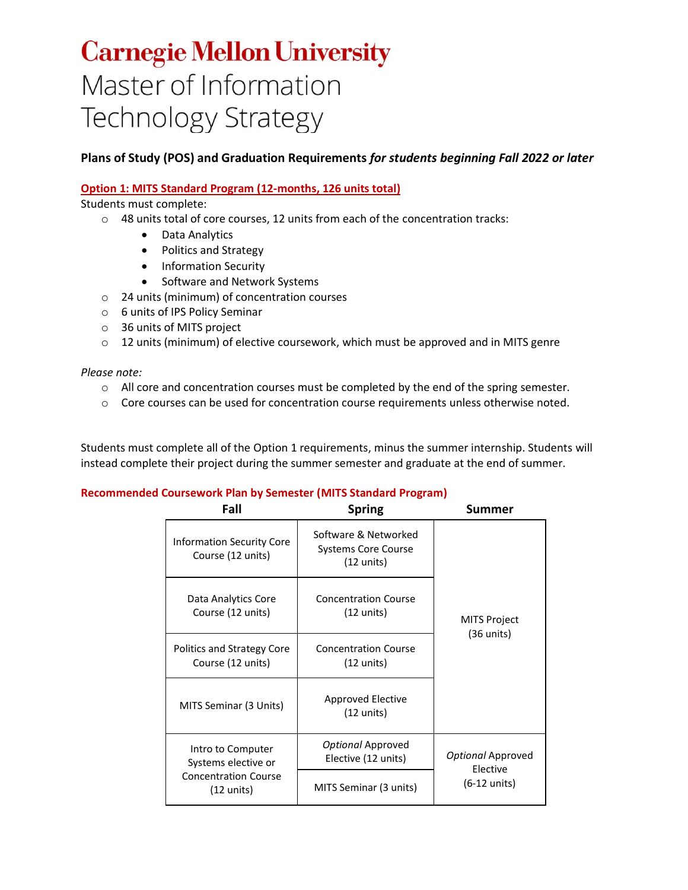# **Carnegie Mellon University** Master of Information **Technology Strategy**

# **Plans of Study (POS) and Graduation Requirements** *for students beginning Fall 2022 or later*

## **Option 1: MITS Standard Program (12-months, 126 units total)**

Students must complete:

 $\circ$  48 units total of core courses, 12 units from each of the concentration tracks:

- Data Analytics
- Politics and Strategy
- Information Security
- Software and Network Systems
- o 24 units (minimum) of concentration courses
- o 6 units of IPS Policy Seminar
- o 36 units of MITS project
- $\circ$  12 units (minimum) of elective coursework, which must be approved and in MITS genre

*Please note:*

- $\circ$  All core and concentration courses must be completed by the end of the spring semester.
- $\circ$  Core courses can be used for concentration course requirements unless otherwise noted.

Students must complete all of the Option 1 requirements, minus the summer internship. Students will instead complete their project during the summer semester and graduate at the end of summer.

| Fall                                                                                  | <b>Spring</b>                                                              | Summer                             |  |
|---------------------------------------------------------------------------------------|----------------------------------------------------------------------------|------------------------------------|--|
| <b>Information Security Core</b><br>Course (12 units)                                 | Software & Networked<br><b>Systems Core Course</b><br>$(12 \text{ units})$ |                                    |  |
| Data Analytics Core<br>Course (12 units)                                              | <b>Concentration Course</b><br>$(12 \text{ units})$                        | <b>MITS Project</b><br>(36 units)  |  |
| Politics and Strategy Core<br>Course (12 units)                                       | <b>Concentration Course</b><br>(12 units)                                  |                                    |  |
| MITS Seminar (3 Units)                                                                | Approved Elective<br>$(12 \text{ units})$                                  |                                    |  |
| Intro to Computer<br>Systems elective or<br><b>Concentration Course</b><br>(12 units) | Optional Approved<br>Elective (12 units)                                   | Optional Approved                  |  |
|                                                                                       | MITS Seminar (3 units)                                                     | Elective<br>$(6-12 \text{ units})$ |  |

#### **Recommended Coursework Plan by Semester (MITS Standard Program)**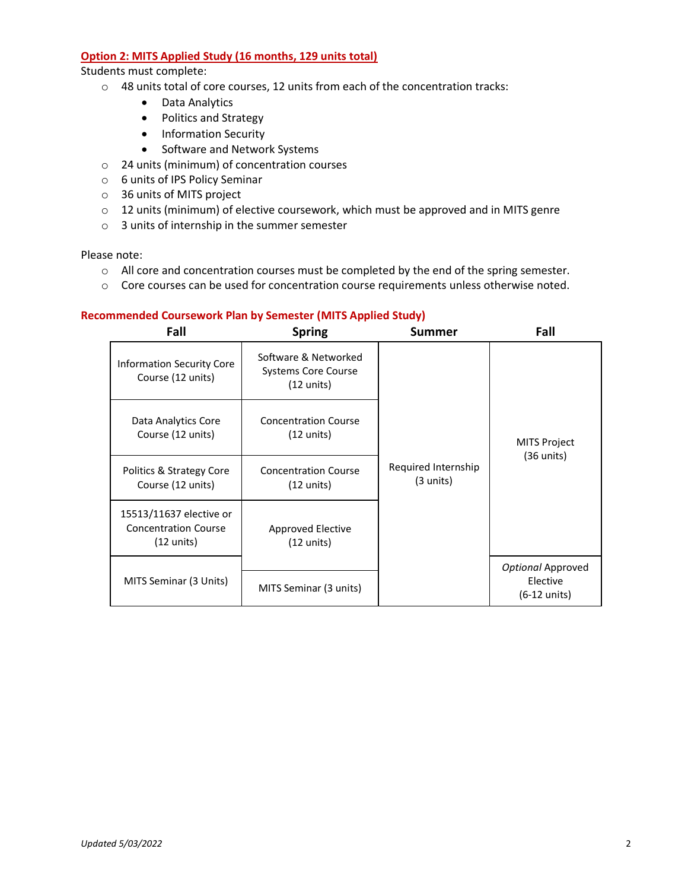#### **Option 2: MITS Applied Study (16 months, 129 units total)**

Students must complete:

- o 48 units total of core courses, 12 units from each of the concentration tracks:
	- Data Analytics
	- Politics and Strategy
	- Information Security
	- Software and Network Systems
- o 24 units (minimum) of concentration courses
- o 6 units of IPS Policy Seminar
- o 36 units of MITS project
- o 12 units (minimum) of elective coursework, which must be approved and in MITS genre
- o 3 units of internship in the summer semester

Please note:

- o All core and concentration courses must be completed by the end of the spring semester.
- o Core courses can be used for concentration course requirements unless otherwise noted.

### **Recommended Coursework Plan by Semester (MITS Applied Study)**

| Fall                                                                           | <b>Spring</b>                                                    | Summer                                     | Fall                                        |
|--------------------------------------------------------------------------------|------------------------------------------------------------------|--------------------------------------------|---------------------------------------------|
| <b>Information Security Core</b><br>Course (12 units)                          | Software & Networked<br><b>Systems Core Course</b><br>(12 units) |                                            | <b>MITS Project</b><br>$(36 \text{ units})$ |
| Data Analytics Core<br>Course (12 units)                                       | <b>Concentration Course</b><br>$(12 \text{ units})$              | Required Internship<br>$(3 \text{ units})$ |                                             |
| Politics & Strategy Core<br>Course (12 units)                                  | <b>Concentration Course</b><br>$(12 \text{ units})$              |                                            |                                             |
| 15513/11637 elective or<br><b>Concentration Course</b><br>$(12 \text{ units})$ | Approved Elective<br>(12 units)                                  |                                            |                                             |
|                                                                                |                                                                  |                                            | Optional Approved                           |
| MITS Seminar (3 Units)                                                         | MITS Seminar (3 units)                                           |                                            | Elective<br>(6-12 units)                    |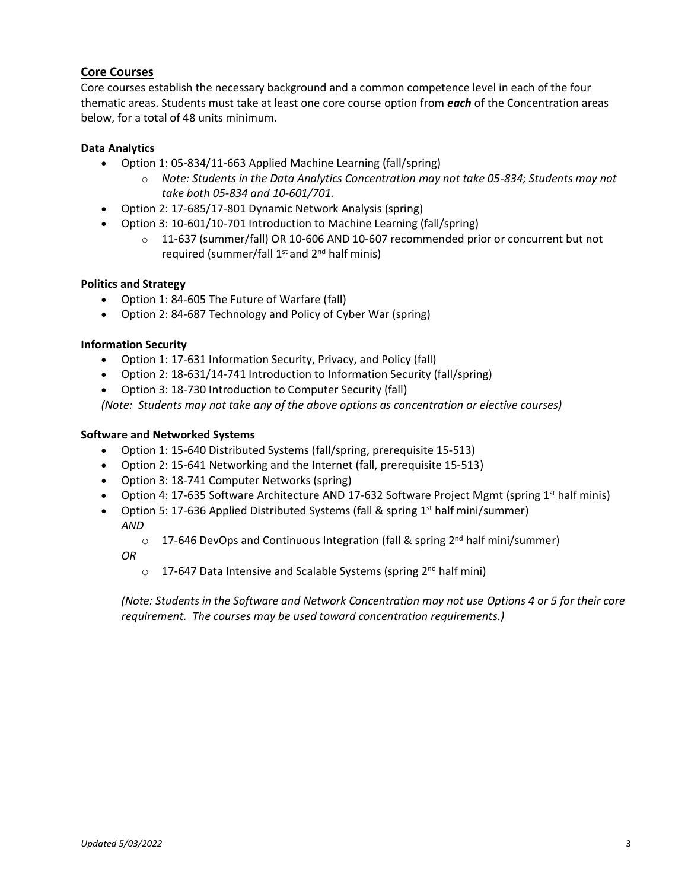# **Core Courses**

Core courses establish the necessary background and a common competence level in each of the four thematic areas. Students must take at least one core course option from *each* of the Concentration areas below, for a total of 48 units minimum.

## **Data Analytics**

- Option 1: 05-834/11-663 Applied Machine Learning (fall/spring)
	- o *Note: Students in the Data Analytics Concentration may not take 05-834; Students may not take both 05-834 and 10-601/701.*
- Option 2: 17-685/17-801 Dynamic Network Analysis (spring)
- Option 3: 10-601/10-701 Introduction to Machine Learning (fall/spring)
	- o 11-637 (summer/fall) OR 10-606 AND 10-607 recommended prior or concurrent but not required (summer/fall 1<sup>st</sup> and 2<sup>nd</sup> half minis)

#### **Politics and Strategy**

- Option 1: 84-605 The Future of Warfare (fall)
- Option 2: 84-687 Technology and Policy of Cyber War (spring)

#### **Information Security**

- Option 1: 17-631 Information Security, Privacy, and Policy (fall)
- Option 2: 18-631/14-741 Introduction to Information Security (fall/spring)
- Option 3: 18-730 Introduction to Computer Security (fall)

*(Note: Students may not take any of the above options as concentration or elective courses)* 

#### **Software and Networked Systems**

- Option 1: 15-640 Distributed Systems (fall/spring, prerequisite 15-513)
- Option 2: 15-641 Networking and the Internet (fall, prerequisite 15-513)
- Option 3: 18-741 Computer Networks (spring)
- Option 4: 17-635 Software Architecture AND 17-632 Software Project Mgmt (spring 1<sup>st</sup> half minis)
- Option 5: 17-636 Applied Distributed Systems (fall & spring 1<sup>st</sup> half mini/summer) *AND*

o 17-646 DevOps and Continuous Integration (fall & spring 2<sup>nd</sup> half mini/summer)

*OR*

o 17-647 Data Intensive and Scalable Systems (spring 2<sup>nd</sup> half mini)

*(Note: Students in the Software and Network Concentration may not use Options 4 or 5 for their core requirement. The courses may be used toward concentration requirements.)*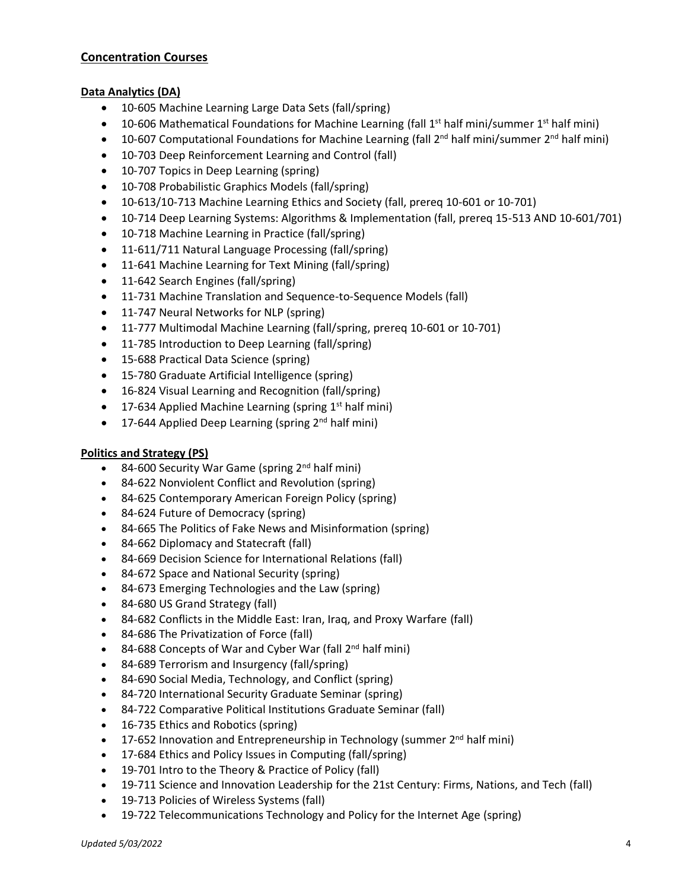#### **Concentration Courses**

### **Data Analytics (DA)**

- 10-605 Machine Learning Large Data Sets (fall/spring)
- 10-606 Mathematical Foundations for Machine Learning (fall  $1<sup>st</sup>$  half mini/summer  $1<sup>st</sup>$  half mini)
- 10-607 Computational Foundations for Machine Learning (fall  $2^{nd}$  half mini/summer  $2^{nd}$  half mini)
- 10-703 Deep Reinforcement Learning and Control (fall)
- 10-707 Topics in Deep Learning (spring)
- 10-708 Probabilistic Graphics Models (fall/spring)
- 10-613/10-713 Machine Learning Ethics and Society (fall, prereq 10-601 or 10-701)
- 10-714 Deep Learning Systems: Algorithms & Implementation (fall, prereq 15-513 AND 10-601/701)
- 10-718 Machine Learning in Practice (fall/spring)
- 11-611/711 Natural Language Processing (fall/spring)
- 11-641 Machine Learning for Text Mining (fall/spring)
- 11-642 Search Engines (fall/spring)
- 11-731 Machine Translation and Sequence-to-Sequence Models (fall)
- 11-747 Neural Networks for NLP (spring)
- 11-777 Multimodal Machine Learning (fall/spring, prereq 10-601 or 10-701)
- 11-785 Introduction to Deep Learning (fall/spring)
- 15-688 Practical Data Science (spring)
- 15-780 Graduate Artificial Intelligence (spring)
- 16-824 Visual Learning and Recognition (fall/spring)
- 17-634 Applied Machine Learning (spring  $1<sup>st</sup>$  half mini)
- 17-644 Applied Deep Learning (spring  $2<sup>nd</sup>$  half mini)

#### **Politics and Strategy (PS)**

- 84-600 Security War Game (spring 2<sup>nd</sup> half mini)
- 84-622 Nonviolent Conflict and Revolution (spring)
- 84-625 Contemporary American Foreign Policy (spring)
- 84-624 Future of Democracy (spring)
- 84-665 The Politics of Fake News and Misinformation (spring)
- 84-662 Diplomacy and Statecraft (fall)
- 84-669 Decision Science for International Relations (fall)
- 84-672 Space and National Security (spring)
- 84-673 Emerging Technologies and the Law (spring)
- 84-680 US Grand Strategy (fall)
- 84-682 Conflicts in the Middle East: Iran, Iraq, and Proxy Warfare (fall)
- 84-686 The Privatization of Force (fall)
- 84-688 Concepts of War and Cyber War (fall 2<sup>nd</sup> half mini)
- 84-689 Terrorism and Insurgency (fall/spring)
- 84-690 Social Media, Technology, and Conflict (spring)
- 84-720 International Security Graduate Seminar (spring)
- 84-722 Comparative Political Institutions Graduate Seminar (fall)
- 16-735 Ethics and Robotics (spring)
- 17-652 Innovation and Entrepreneurship in Technology (summer 2<sup>nd</sup> half mini)
- 17-684 Ethics and Policy Issues in Computing (fall/spring)
- 19-701 Intro to the Theory & Practice of Policy (fall)
- 19-711 Science and Innovation Leadership for the 21st Century: Firms, Nations, and Tech (fall)
- 19-713 Policies of Wireless Systems (fall)
- 19-722 Telecommunications Technology and Policy for the Internet Age (spring)